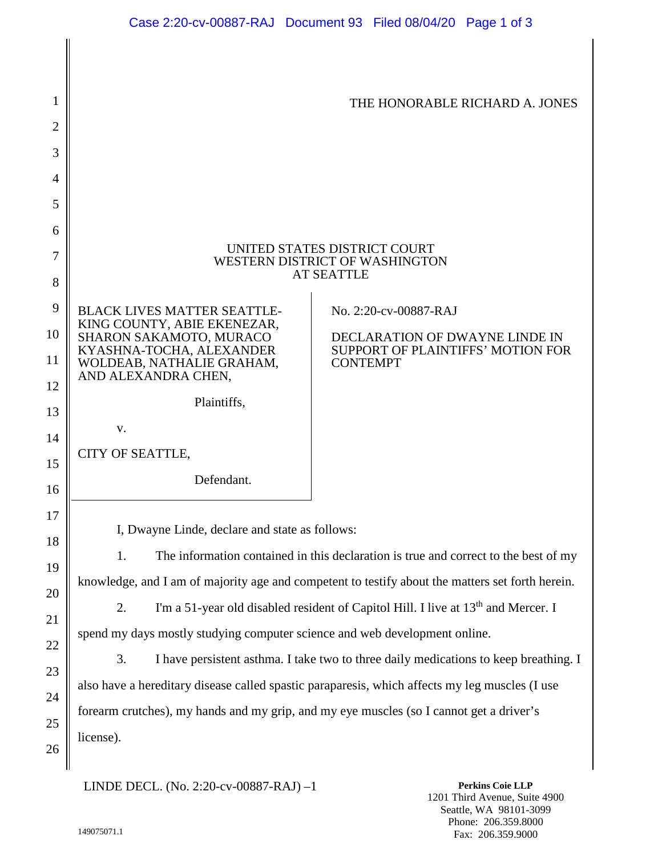|                                                                                                                                                                                                 | THE HONORABLE RICHARD A. JONES                                                                                                                                                                                   |
|-------------------------------------------------------------------------------------------------------------------------------------------------------------------------------------------------|------------------------------------------------------------------------------------------------------------------------------------------------------------------------------------------------------------------|
|                                                                                                                                                                                                 |                                                                                                                                                                                                                  |
|                                                                                                                                                                                                 |                                                                                                                                                                                                                  |
|                                                                                                                                                                                                 |                                                                                                                                                                                                                  |
|                                                                                                                                                                                                 |                                                                                                                                                                                                                  |
|                                                                                                                                                                                                 |                                                                                                                                                                                                                  |
| UNITED STATES DISTRICT COURT<br>7<br>WESTERN DISTRICT OF WASHINGTON                                                                                                                             |                                                                                                                                                                                                                  |
| <b>AT SEATTLE</b><br>8                                                                                                                                                                          |                                                                                                                                                                                                                  |
| <b>BLACK LIVES MATTER SEATTLE-</b>                                                                                                                                                              | No. 2:20-cv-00887-RAJ                                                                                                                                                                                            |
| SHARON SAKAMOTO, MURACO                                                                                                                                                                         | DECLARATION OF DWAYNE LINDE IN                                                                                                                                                                                   |
| WOLDEAB, NATHALIE GRAHAM,                                                                                                                                                                       | SUPPORT OF PLAINTIFFS' MOTION FOR<br><b>CONTEMPT</b>                                                                                                                                                             |
|                                                                                                                                                                                                 |                                                                                                                                                                                                                  |
|                                                                                                                                                                                                 |                                                                                                                                                                                                                  |
| V.                                                                                                                                                                                              |                                                                                                                                                                                                                  |
|                                                                                                                                                                                                 |                                                                                                                                                                                                                  |
|                                                                                                                                                                                                 |                                                                                                                                                                                                                  |
| 17                                                                                                                                                                                              |                                                                                                                                                                                                                  |
| 18                                                                                                                                                                                              |                                                                                                                                                                                                                  |
| The information contained in this declaration is true and correct to the best of my<br>19                                                                                                       |                                                                                                                                                                                                                  |
| knowledge, and I am of majority age and competent to testify about the matters set forth herein.<br>20                                                                                          |                                                                                                                                                                                                                  |
| I'm a 51-year old disabled resident of Capitol Hill. I live at 13 <sup>th</sup> and Mercer. I<br>21                                                                                             |                                                                                                                                                                                                                  |
| spend my days mostly studying computer science and web development online.<br>22                                                                                                                |                                                                                                                                                                                                                  |
| I have persistent asthma. I take two to three daily medications to keep breathing. I<br>23                                                                                                      |                                                                                                                                                                                                                  |
| also have a hereditary disease called spastic paraparesis, which affects my leg muscles (I use<br>24<br>forearm crutches), my hands and my grip, and my eye muscles (so I cannot get a driver's |                                                                                                                                                                                                                  |
|                                                                                                                                                                                                 |                                                                                                                                                                                                                  |
|                                                                                                                                                                                                 | KING COUNTY, ABIE EKENEZAR,<br>KYASHNA-TOCHA, ALEXANDER<br>AND ALEXANDRA CHEN,<br>Plaintiffs,<br>CITY OF SEATTLE,<br>Defendant.<br>I, Dwayne Linde, declare and state as follows:<br>1.<br>2.<br>3.<br>license). |

LINDE DECL. (No. 2:20-cv-00887-RAJ) –1

**Perkins Coie LLP** 1201 Third Avenue, Suite 4900 Seattle, WA 98101-3099 Phone: 206.359.8000 Fax: 206.359.9000

26

 $\mathbb I$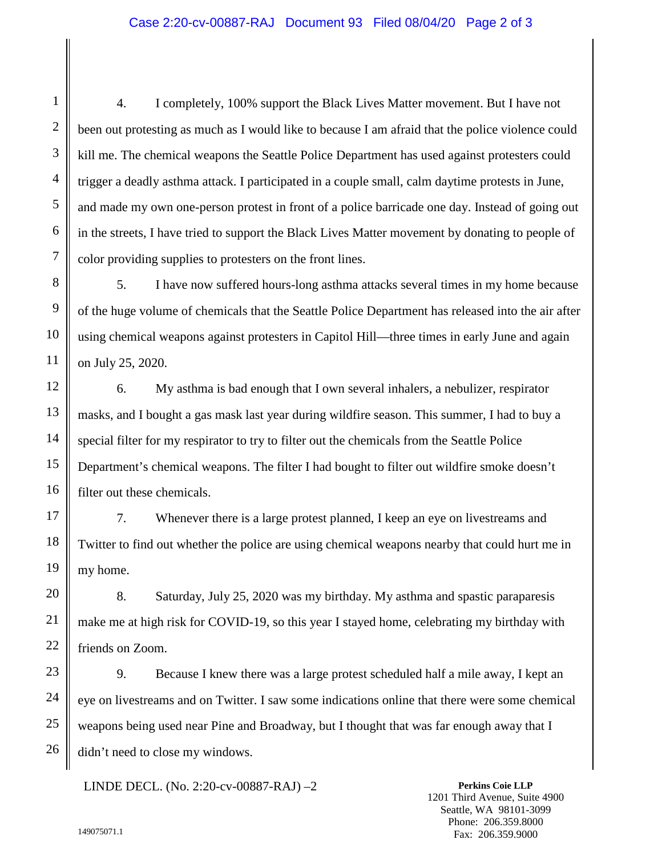4. I completely, 100% support the Black Lives Matter movement. But I have not been out protesting as much as I would like to because I am afraid that the police violence could kill me. The chemical weapons the Seattle Police Department has used against protesters could trigger a deadly asthma attack. I participated in a couple small, calm daytime protests in June, and made my own one-person protest in front of a police barricade one day. Instead of going out in the streets, I have tried to support the Black Lives Matter movement by donating to people of color providing supplies to protesters on the front lines.

5. I have now suffered hours-long asthma attacks several times in my home because of the huge volume of chemicals that the Seattle Police Department has released into the air after using chemical weapons against protesters in Capitol Hill—three times in early June and again on July 25, 2020.

6. My asthma is bad enough that I own several inhalers, a nebulizer, respirator masks, and I bought a gas mask last year during wildfire season. This summer, I had to buy a special filter for my respirator to try to filter out the chemicals from the Seattle Police Department's chemical weapons. The filter I had bought to filter out wildfire smoke doesn't filter out these chemicals.

7. Whenever there is a large protest planned, I keep an eye on livestreams and Twitter to find out whether the police are using chemical weapons nearby that could hurt me in my home.

8. Saturday, July 25, 2020 was my birthday. My asthma and spastic paraparesis make me at high risk for COVID-19, so this year I stayed home, celebrating my birthday with friends on Zoom.

9. Because I knew there was a large protest scheduled half a mile away, I kept an eye on livestreams and on Twitter. I saw some indications online that there were some chemical weapons being used near Pine and Broadway, but I thought that was far enough away that I didn't need to close my windows.

LINDE DECL. (No. 2:20-cv-00887-RAJ) –2

**Perkins Coie LLP** 1201 Third Avenue, Suite 4900 Seattle, WA 98101-3099 Phone: 206.359.8000 Fax: 206.359.9000

1